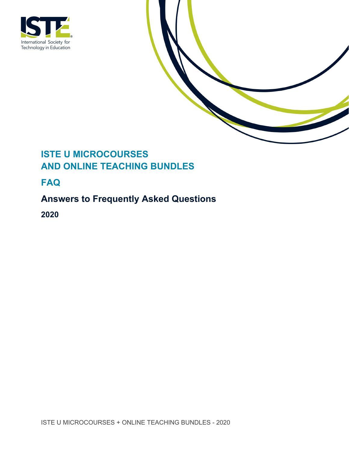



# **ISTE U MICROCOURSES AND ONLINE TEACHING BUNDLES**

**FAQ**

# **Answers to Frequently Asked Questions**

**2020**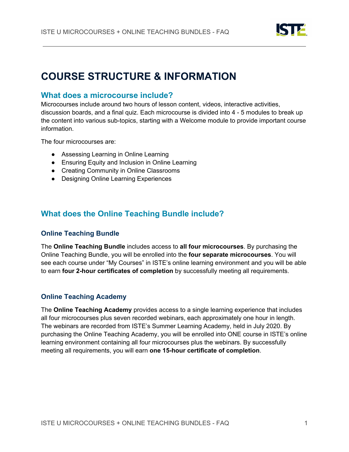

# **COURSE STRUCTURE & INFORMATION**

### **What does a microcourse include?**

Microcourses include around two hours of lesson content, videos, interactive activities, discussion boards, and a final quiz. Each microcourse is divided into 4 - 5 modules to break up the content into various sub-topics, starting with a Welcome module to provide important course information.

The four microcourses are:

- Assessing Learning in Online Learning
- Ensuring Equity and Inclusion in Online Learning
- Creating Community in Online Classrooms
- Designing Online Learning Experiences

# **What does the Online Teaching Bundle include?**

#### **Online Teaching Bundle**

The **Online Teaching Bundle** includes access to **all four microcourses**. By purchasing the Online Teaching Bundle, you will be enrolled into the **four separate microcourses**. You will see each course under "My Courses" in ISTE's online learning environment and you will be able to earn **four 2-hour certificates of completion** by successfully meeting all requirements.

#### **Online Teaching Academy**

The **Online Teaching Academy** provides access to a single learning experience that includes all four microcourses plus seven recorded webinars, each approximately one hour in length. The webinars are recorded from ISTE's Summer Learning Academy, held in July 2020. By purchasing the Online Teaching Academy, you will be enrolled into ONE course in ISTE's online learning environment containing all four microcourses plus the webinars. By successfully meeting all requirements, you will earn **one 15-hour certificate of completion**.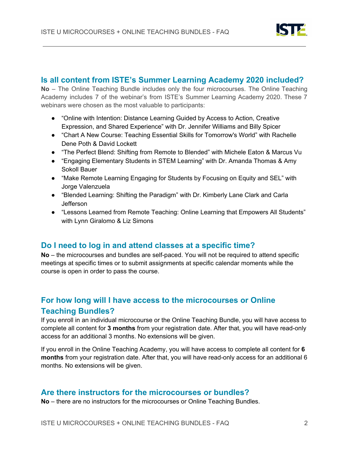

### **Is all content from ISTE's Summer Learning Academy 2020 included?**

**No** – The Online Teaching Bundle includes only the four microcourses. The Online Teaching Academy includes 7 of the webinar's from ISTE's Summer Learning Academy 2020. These 7 webinars were chosen as the most valuable to participants:

- "Online with Intention: Distance Learning Guided by Access to Action, Creative Expression, and Shared Experience" with Dr. Jennifer Williams and Billy Spicer
- "Chart A New Course: Teaching Essential Skills for Tomorrow's World" with Rachelle Dene Poth & David Lockett
- "The Perfect Blend: Shifting from Remote to Blended" with Michele Eaton & Marcus Vu
- "Engaging Elementary Students in STEM Learning" with Dr. Amanda Thomas & Amy Sokoll Bauer
- "Make Remote Learning Engaging for Students by Focusing on Equity and SEL" with Jorge Valenzuela
- "Blended Learning: Shifting the Paradigm" with Dr. Kimberly Lane Clark and Carla Jefferson
- "Lessons Learned from Remote Teaching: Online Learning that Empowers All Students" with Lynn Giralomo & Liz Simons

## **Do I need to log in and attend classes at a specific time?**

**No** – the microcourses and bundles are self-paced. You will not be required to attend specific meetings at specific times or to submit assignments at specific calendar moments while the course is open in order to pass the course.

# **For how long will I have access to the microcourses or Online Teaching Bundles?**

If you enroll in an individual microcourse or the Online Teaching Bundle, you will have access to complete all content for **3 months** from your registration date. After that, you will have read-only access for an additional 3 months. No extensions will be given.

If you enroll in the Online Teaching Academy, you will have access to complete all content for **6 months** from your registration date. After that, you will have read-only access for an additional 6 months. No extensions will be given.

## **Are there instructors for the microcourses or bundles?**

**No** – there are no instructors for the microcourses or Online Teaching Bundles.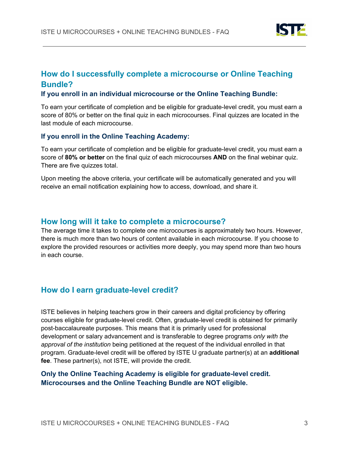

# **How do I successfully complete a microcourse or Online Teaching Bundle?**

#### **If you enroll in an individual microcourse or the Online Teaching Bundle:**

To earn your certificate of completion and be eligible for graduate-level credit, you must earn a score of 80% or better on the final quiz in each microcourses. Final quizzes are located in the last module of each microcourse.

#### **If you enroll in the Online Teaching Academy:**

To earn your certificate of completion and be eligible for graduate-level credit, you must earn a score of **80% or better** on the final quiz of each microcourses **AND** on the final webinar quiz. There are five quizzes total.

Upon meeting the above criteria, your certificate will be automatically generated and you will receive an email notification explaining how to access, download, and share it.

#### **How long will it take to complete a microcourse?**

The average time it takes to complete one microcourses is approximately two hours. However, there is much more than two hours of content available in each microcourse. If you choose to explore the provided resources or activities more deeply, you may spend more than two hours in each course.

## **How do I earn graduate-level credit?**

ISTE believes in helping teachers grow in their careers and digital proficiency by offering courses eligible for graduate-level credit. Often, graduate-level credit is obtained for primarily post-baccalaureate purposes. This means that it is primarily used for professional development or salary advancement and is transferable to degree programs *only with the approval of the institution* being petitioned at the request of the individual enrolled in that program. Graduate-level credit will be offered by ISTE U graduate partner(s) at an **additional fee**. These partner(s), not ISTE, will provide the credit.

#### **Only the Online Teaching Academy is eligible for graduate-level credit. Microcourses and the Online Teaching Bundle are NOT eligible.**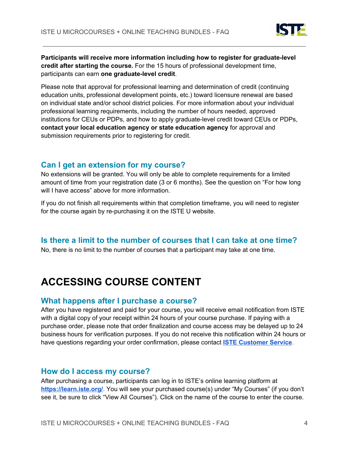

**Participants will receive more information including how to register for graduate-level credit after starting the course.** For the 15 hours of professional development time, participants can earn **one graduate-level credit**.

Please note that approval for professional learning and determination of credit (continuing education units, professional development points, etc.) toward licensure renewal are based on individual state and/or school district policies. For more information about your individual professional learning requirements, including the number of hours needed, approved institutions for CEUs or PDPs, and how to apply graduate-level credit toward CEUs or PDPs, **contact your local education agency or state education agency** for approval and submission requirements prior to registering for credit.

# **Can I get an extension for my course?**

No extensions will be granted. You will only be able to complete requirements for a limited amount of time from your registration date (3 or 6 months). See the question on "For how long will I have access" above for more information.

If you do not finish all requirements within that completion timeframe, you will need to register for the course again by re-purchasing it on the ISTE U website.

## **Is there a limit to the number of courses that I can take at one time?**

No, there is no limit to the number of courses that a participant may take at one time.

# **ACCESSING COURSE CONTENT**

#### **What happens after I purchase a course?**

After you have registered and paid for your course, you will receive email notification from ISTE with a digital copy of your receipt within 24 hours of your course purchase. If paying with a purchase order, please note that order finalization and course access may be delayed up to 24 business hours for verification purposes. If you do not receive this notification within 24 hours or have questions regarding your order confirmation, please contact **ISTE [Customer](https://www.iste.org/about/contact) Service**.

## **How do I access my course?**

After purchasing a course, participants can log in to ISTE's online learning platform at **<https://learn.iste.org/>**. You will see your purchased course(s) under "My Courses" (if you don't see it, be sure to click "View All Courses"). Click on the name of the course to enter the course.